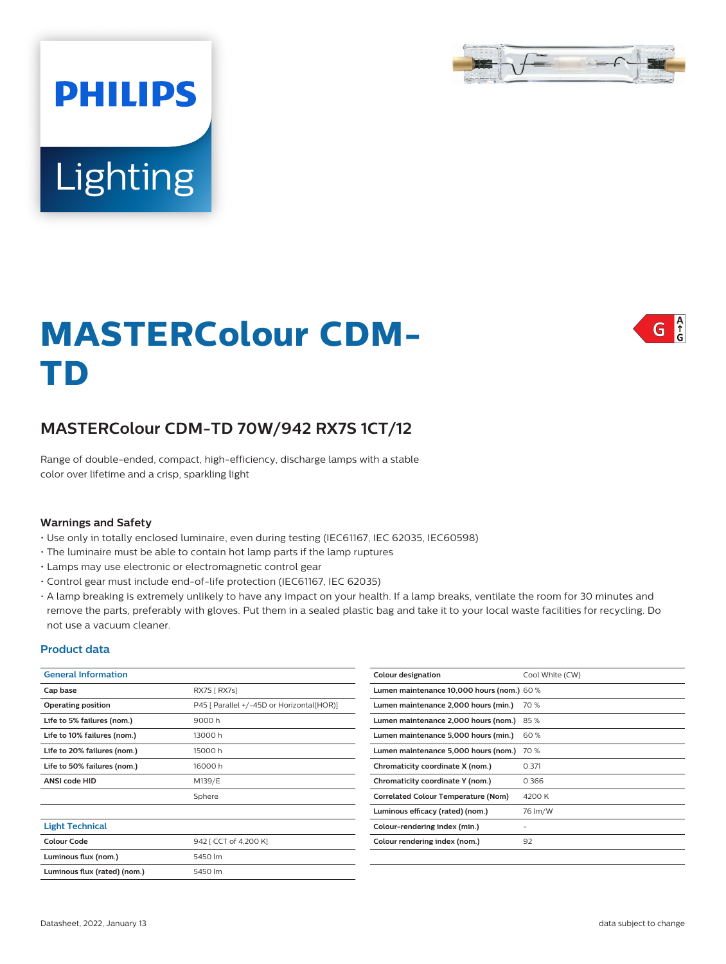

# **Lighting**

**PHILIPS** 

# $\int_{G}^{A}$ G

# **MASTERColour CDM-TD**

# **MASTERColour CDM-TD 70W/942 RX7S 1CT/12**

Range of double-ended, compact, high-efficiency, discharge lamps with a stable color over lifetime and a crisp, sparkling light

### **Warnings and Safety**

- Use only in totally enclosed luminaire, even during testing (IEC61167, IEC 62035, IEC60598)
- The luminaire must be able to contain hot lamp parts if the lamp ruptures
- Lamps may use electronic or electromagnetic control gear
- Control gear must include end-of-life protection (IEC61167, IEC 62035)
- A lamp breaking is extremely unlikely to have any impact on your health. If a lamp breaks, ventilate the room for 30 minutes and remove the parts, preferably with gloves. Put them in a sealed plastic bag and take it to your local waste facilities for recycling. Do not use a vacuum cleaner.

### **Product data**

| <b>General Information</b>   |                                           | Colour designation                         | Cool White (CW)          |
|------------------------------|-------------------------------------------|--------------------------------------------|--------------------------|
| Cap base                     | RX7S [ RX7s]                              | Lumen maintenance 10,000 hours (nom.) 60 % |                          |
| <b>Operating position</b>    | P45 [ Parallel +/-45D or Horizontal(HOR)] | Lumen maintenance 2,000 hours (min.)       | 70 %                     |
| Life to 5% failures (nom.)   | 9000h                                     | Lumen maintenance 2,000 hours (nom.) 85 %  |                          |
| Life to 10% failures (nom.)  | 13000h                                    | Lumen maintenance 5,000 hours (min.)       | 60%                      |
| Life to 20% failures (nom.)  | 15000h                                    | Lumen maintenance 5,000 hours (nom.) 70 %  |                          |
| Life to 50% failures (nom.)  | 16000h                                    | Chromaticity coordinate X (nom.)           | 0.371                    |
| <b>ANSI code HID</b>         | M139/E                                    | Chromaticity coordinate Y (nom.)           | 0.366                    |
|                              | Sphere                                    | <b>Correlated Colour Temperature (Nom)</b> | 4200 K                   |
|                              |                                           | Luminous efficacy (rated) (nom.)           | 76 lm/W                  |
| <b>Light Technical</b>       |                                           | Colour-rendering index (min.)              | $\overline{\phantom{a}}$ |
| <b>Colour Code</b>           | 942 [ CCT of 4,200 K]                     | Colour rendering index (nom.)              | 92                       |
| Luminous flux (nom.)         | 5450 lm                                   |                                            |                          |
| Luminous flux (rated) (nom.) | 5450 lm                                   |                                            |                          |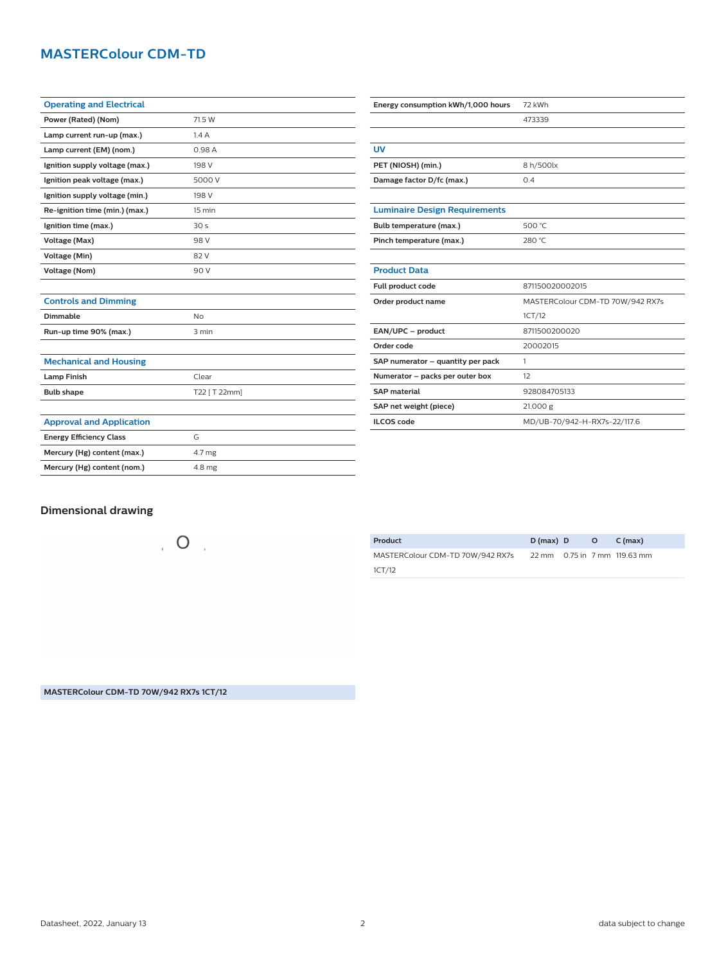# **MASTERColour CDM-TD**

| <b>Operating and Electrical</b> |                  |
|---------------------------------|------------------|
| Power (Rated) (Nom)             | 71.5 W           |
| Lamp current run-up (max.)      | 1.4A             |
| Lamp current (EM) (nom.)        | 0.98A            |
| Ignition supply voltage (max.)  | 198 V            |
| Ignition peak voltage (max.)    | 5000 V           |
| Ignition supply voltage (min.)  | 198 V            |
| Re-ignition time (min.) (max.)  | $15 \text{ min}$ |
| Ignition time (max.)            | 30 <sub>s</sub>  |
| Voltage (Max)                   | 98 V             |
| Voltage (Min)                   | 82 V             |
| <b>Voltage (Nom)</b>            | 90 V             |
|                                 |                  |
| <b>Controls and Dimming</b>     |                  |
| <b>Dimmable</b>                 | <b>No</b>        |
| Run-up time 90% (max.)          | 3 min            |
|                                 |                  |
| <b>Mechanical and Housing</b>   |                  |
| <b>Lamp Finish</b>              | Clear            |
| <b>Bulb shape</b>               | T22 [ T 22mm]    |
|                                 |                  |
| <b>Approval and Application</b> |                  |
| <b>Energy Efficiency Class</b>  | G                |
| Mercury (Hg) content (max.)     | 4.7 mg           |
| Mercury (Hg) content (nom.)     | 4.8 mg           |

| Energy consumption kWh/1,000 hours   | 72 kWh                           |
|--------------------------------------|----------------------------------|
|                                      | 473339                           |
|                                      |                                  |
| UV                                   |                                  |
| PET (NIOSH) (min.)                   | 8 h/500lx                        |
| Damage factor D/fc (max.)            | 0.4                              |
|                                      |                                  |
| <b>Luminaire Design Requirements</b> |                                  |
| Bulb temperature (max.)              | 500 °C                           |
| Pinch temperature (max.)             | 280 °C                           |
|                                      |                                  |
| <b>Product Data</b>                  |                                  |
| Full product code                    | 871150020002015                  |
| Order product name                   | MASTERColour CDM-TD 70W/942 RX7s |
|                                      | 1CT/12                           |
| EAN/UPC - product                    | 8711500200020                    |
| Order code                           | 20002015                         |
| SAP numerator - quantity per pack    | 1                                |
| Numerator - packs per outer box      | 12                               |
| <b>SAP</b> material                  | 928084705133                     |
| SAP net weight (piece)               | 21.000 g                         |
| <b>ILCOS</b> code                    | MD/UB-70/942-H-RX7s-22/117.6     |

## **Dimensional drawing**

 $\overline{O}$ 

| Product                                                       | $D(max)$ $D$ $O$ $C(max)$ |  |  |
|---------------------------------------------------------------|---------------------------|--|--|
| MASTERColour CDM-TD 70W/942 RX7s 22 mm 0.75 in 7 mm 119.63 mm |                           |  |  |
| 1CT/12                                                        |                           |  |  |

**MASTERColour CDM-TD 70W/942 RX7s 1CT/12**